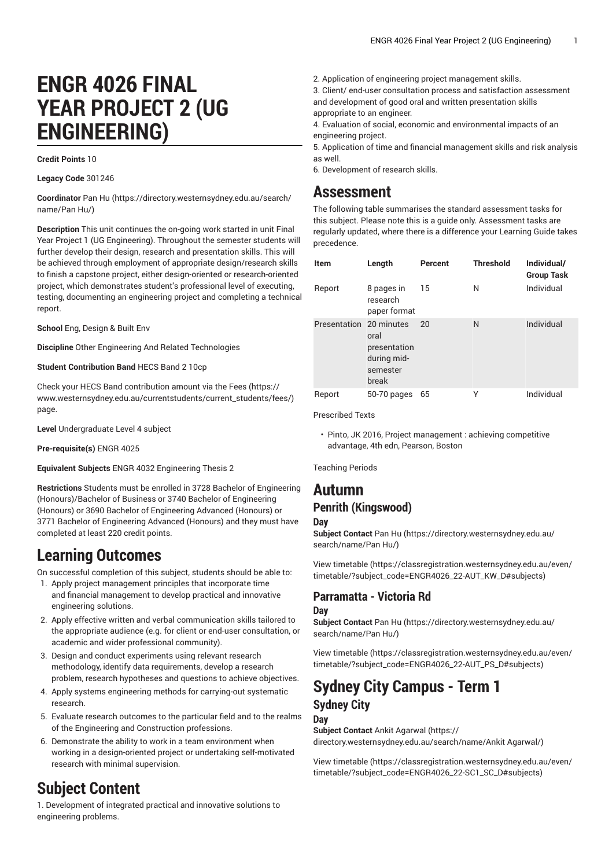# **ENGR 4026 FINAL YEAR PROJECT 2 (UG ENGINEERING)**

#### **Credit Points** 10

**Legacy Code** 301246

**Coordinator** [Pan](https://directory.westernsydney.edu.au/search/name/Pan Hu/) Hu [\(https://directory.westernsydney.edu.au/search/](https://directory.westernsydney.edu.au/search/name/Pan Hu/) [name/Pan](https://directory.westernsydney.edu.au/search/name/Pan Hu/) Hu/)

**Description** This unit continues the on-going work started in unit Final Year Project 1 (UG Engineering). Throughout the semester students will further develop their design, research and presentation skills. This will be achieved through employment of appropriate design/research skills to finish a capstone project, either design-oriented or research-oriented project, which demonstrates student's professional level of executing, testing, documenting an engineering project and completing a technical report.

**School** Eng, Design & Built Env

**Discipline** Other Engineering And Related Technologies

**Student Contribution Band** HECS Band 2 10cp

Check your HECS Band contribution amount via the [Fees \(https://](https://www.westernsydney.edu.au/currentstudents/current_students/fees/) [www.westernsydney.edu.au/currentstudents/current\\_students/fees/\)](https://www.westernsydney.edu.au/currentstudents/current_students/fees/) page.

**Level** Undergraduate Level 4 subject

**Pre-requisite(s)** [ENGR 4025](/search/?P=ENGR%204025)

**Equivalent Subjects** ENGR 4032 Engineering Thesis 2

**Restrictions** Students must be enrolled in 3728 Bachelor of Engineering (Honours)/Bachelor of Business or 3740 Bachelor of Engineering (Honours) or 3690 Bachelor of Engineering Advanced (Honours) or 3771 Bachelor of Engineering Advanced (Honours) and they must have completed at least 220 credit points.

## **Learning Outcomes**

On successful completion of this subject, students should be able to:

- 1. Apply project management principles that incorporate time and financial management to develop practical and innovative engineering solutions.
- 2. Apply effective written and verbal communication skills tailored to the appropriate audience (e.g. for client or end-user consultation, or academic and wider professional community).
- 3. Design and conduct experiments using relevant research methodology, identify data requirements, develop a research problem, research hypotheses and questions to achieve objectives.
- 4. Apply systems engineering methods for carrying-out systematic research.
- 5. Evaluate research outcomes to the particular field and to the realms of the Engineering and Construction professions.
- 6. Demonstrate the ability to work in a team environment when working in a design-oriented project or undertaking self-motivated research with minimal supervision.

# **Subject Content**

1. Development of integrated practical and innovative solutions to engineering problems.

- 2. Application of engineering project management skills.
- 3. Client/ end-user consultation process and satisfaction assessment and development of good oral and written presentation skills appropriate to an engineer.

4. Evaluation of social, economic and environmental impacts of an engineering project.

- 5. Application of time and financial management skills and risk analysis as well.
- 6. Development of research skills.

## **Assessment**

The following table summarises the standard assessment tasks for this subject. Please note this is a guide only. Assessment tasks are regularly updated, where there is a difference your Learning Guide takes precedence.

| <b>Item</b>             | Length                                                   | Percent | <b>Threshold</b> | Individual/<br><b>Group Task</b> |
|-------------------------|----------------------------------------------------------|---------|------------------|----------------------------------|
| Report                  | 8 pages in<br>research<br>paper format                   | 15      | N                | Individual                       |
| Presentation 20 minutes | oral<br>presentation<br>during mid-<br>semester<br>break | 20      | N                | Individual                       |
| Report                  | $50-70$ pages                                            | 65      | Υ                | Individual                       |

Prescribed Texts

• Pinto, JK 2016, Project management : achieving competitive advantage, 4th edn, Pearson, Boston

Teaching Periods

### **Autumn Penrith (Kingswood)**

**Day**

**Subject Contact** [Pan](https://directory.westernsydney.edu.au/search/name/Pan Hu/) Hu ([https://directory.westernsydney.edu.au/](https://directory.westernsydney.edu.au/search/name/Pan Hu/) [search/name/Pan](https://directory.westernsydney.edu.au/search/name/Pan Hu/) Hu/)

[View timetable](https://classregistration.westernsydney.edu.au/even/timetable/?subject_code=ENGR4026_22-AUT_KW_D#subjects) [\(https://classregistration.westernsydney.edu.au/even/](https://classregistration.westernsydney.edu.au/even/timetable/?subject_code=ENGR4026_22-AUT_KW_D#subjects) [timetable/?subject\\_code=ENGR4026\\_22-AUT\\_KW\\_D#subjects](https://classregistration.westernsydney.edu.au/even/timetable/?subject_code=ENGR4026_22-AUT_KW_D#subjects))

#### **Parramatta - Victoria Rd Day**

**Subject Contact** [Pan](https://directory.westernsydney.edu.au/search/name/Pan Hu/) Hu ([https://directory.westernsydney.edu.au/](https://directory.westernsydney.edu.au/search/name/Pan Hu/) [search/name/Pan](https://directory.westernsydney.edu.au/search/name/Pan Hu/) Hu/)

[View timetable](https://classregistration.westernsydney.edu.au/even/timetable/?subject_code=ENGR4026_22-AUT_PS_D#subjects) [\(https://classregistration.westernsydney.edu.au/even/](https://classregistration.westernsydney.edu.au/even/timetable/?subject_code=ENGR4026_22-AUT_PS_D#subjects) [timetable/?subject\\_code=ENGR4026\\_22-AUT\\_PS\\_D#subjects\)](https://classregistration.westernsydney.edu.au/even/timetable/?subject_code=ENGR4026_22-AUT_PS_D#subjects)

# **Sydney City Campus - Term 1 Sydney City**

#### **Day**

**Subject Contact** Ankit [Agarwal \(https://](https://directory.westernsydney.edu.au/search/name/Ankit Agarwal/) [directory.westernsydney.edu.au/search/name/Ankit](https://directory.westernsydney.edu.au/search/name/Ankit Agarwal/) Agarwal/)

[View timetable](https://classregistration.westernsydney.edu.au/even/timetable/?subject_code=ENGR4026_22-SC1_SC_D#subjects) [\(https://classregistration.westernsydney.edu.au/even/](https://classregistration.westernsydney.edu.au/even/timetable/?subject_code=ENGR4026_22-SC1_SC_D#subjects) [timetable/?subject\\_code=ENGR4026\\_22-SC1\\_SC\\_D#subjects](https://classregistration.westernsydney.edu.au/even/timetable/?subject_code=ENGR4026_22-SC1_SC_D#subjects))